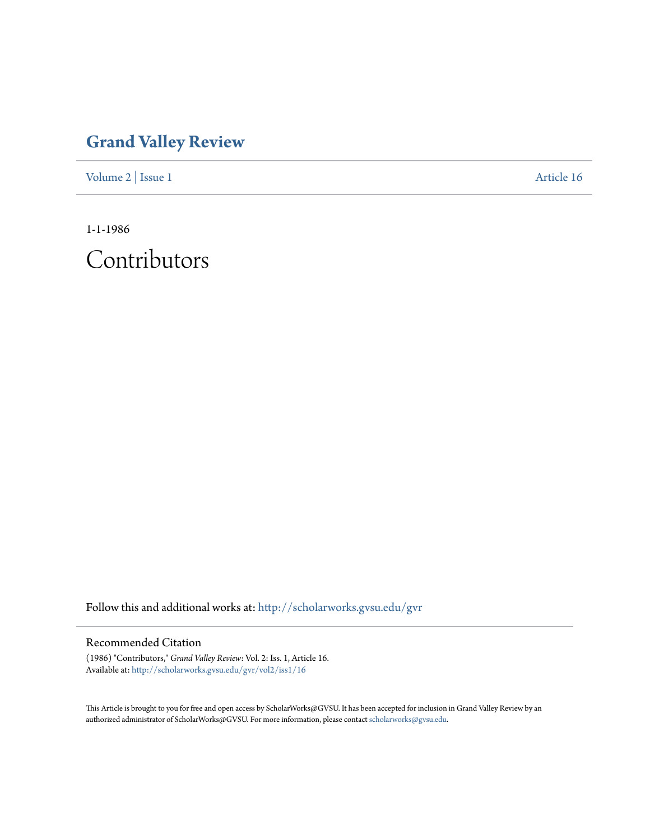## **[Grand Valley Review](http://scholarworks.gvsu.edu/gvr?utm_source=scholarworks.gvsu.edu%2Fgvr%2Fvol2%2Fiss1%2F16&utm_medium=PDF&utm_campaign=PDFCoverPages)**

[Volume 2](http://scholarworks.gvsu.edu/gvr/vol2?utm_source=scholarworks.gvsu.edu%2Fgvr%2Fvol2%2Fiss1%2F16&utm_medium=PDF&utm_campaign=PDFCoverPages) | [Issue 1](http://scholarworks.gvsu.edu/gvr/vol2/iss1?utm_source=scholarworks.gvsu.edu%2Fgvr%2Fvol2%2Fiss1%2F16&utm_medium=PDF&utm_campaign=PDFCoverPages) [Article 16](http://scholarworks.gvsu.edu/gvr/vol2/iss1/16?utm_source=scholarworks.gvsu.edu%2Fgvr%2Fvol2%2Fiss1%2F16&utm_medium=PDF&utm_campaign=PDFCoverPages)

1-1-1986

Contributors

Follow this and additional works at: [http://scholarworks.gvsu.edu/gvr](http://scholarworks.gvsu.edu/gvr?utm_source=scholarworks.gvsu.edu%2Fgvr%2Fvol2%2Fiss1%2F16&utm_medium=PDF&utm_campaign=PDFCoverPages)

## Recommended Citation

(1986) "Contributors," *Grand Valley Review*: Vol. 2: Iss. 1, Article 16. Available at: [http://scholarworks.gvsu.edu/gvr/vol2/iss1/16](http://scholarworks.gvsu.edu/gvr/vol2/iss1/16?utm_source=scholarworks.gvsu.edu%2Fgvr%2Fvol2%2Fiss1%2F16&utm_medium=PDF&utm_campaign=PDFCoverPages)

This Article is brought to you for free and open access by ScholarWorks@GVSU. It has been accepted for inclusion in Grand Valley Review by an authorized administrator of ScholarWorks@GVSU. For more information, please contact [scholarworks@gvsu.edu.](mailto:scholarworks@gvsu.edu)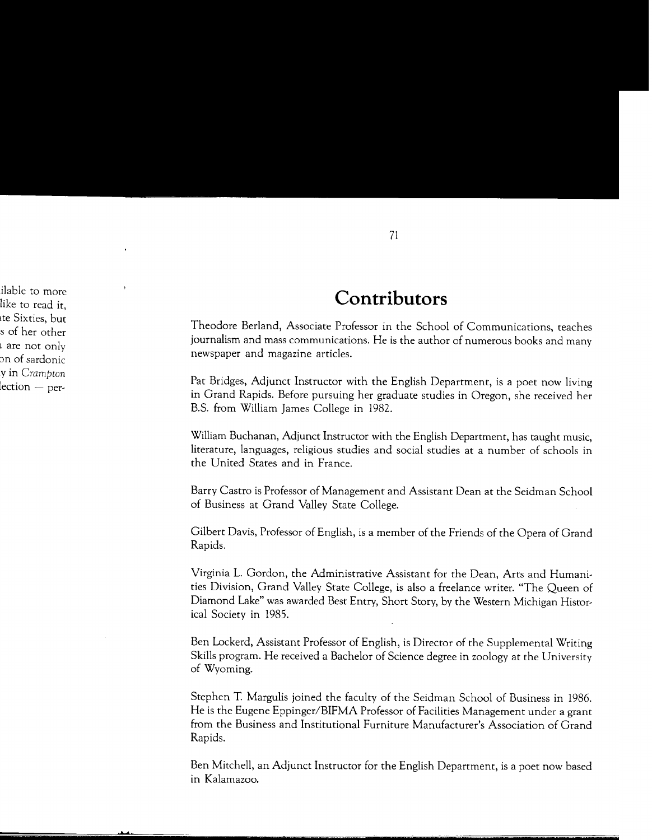## **Contributors**

Theodore Berland, Associate Professor in the School of Communications, teaches journalism and mass communications. He is the author of numerous books and many newspaper and magazine articles.

Pat Bridges, Adjunct Instructor with the English Department, is a poet now living in Grand Rapids. Before pursuing her graduate studies in Oregon, she received her B.S. from William James College in 1982.

William Buchanan, Adjunct Instructor with the English Department, has taught music, literature, languages, religious studies and social studies at a number of schools in the United States and in France.

Barry Castro is Professor of Management and Assistant Dean at the Seidman School of Business at Grand Valley State College.

Gilbert Davis, Professor of English, is a member of the Friends of the Opera of Grand Rapids.

Virginia L. Gordon, the Administrative Assistant for the Dean, Arts and Humanities Division, Grand Valley State College, is also a freelance writer. "The Queen of Diamond Lake" was awarded Best Entry, Short Story, by the Western Michigan Historical Society in 1985.

Ben Lockerd, Assistant Professor of English, is Director of the Supplemental Writing Skills program. He received a Bachelor of Science degree in zoology at the University of Wyoming.

Stephen T. Margulis joined the faculty of the Seidman School of Business in 1986. He is the Eugene Eppinger/BIFMA Professor of Facilities Management under a grant from the Business and Institutional Furniture Manufacturer's Association of Grand Rapids.

Ben Mitchell, an Adjunct Instructor for the English Department, is a poet now based in Kalamazoo.